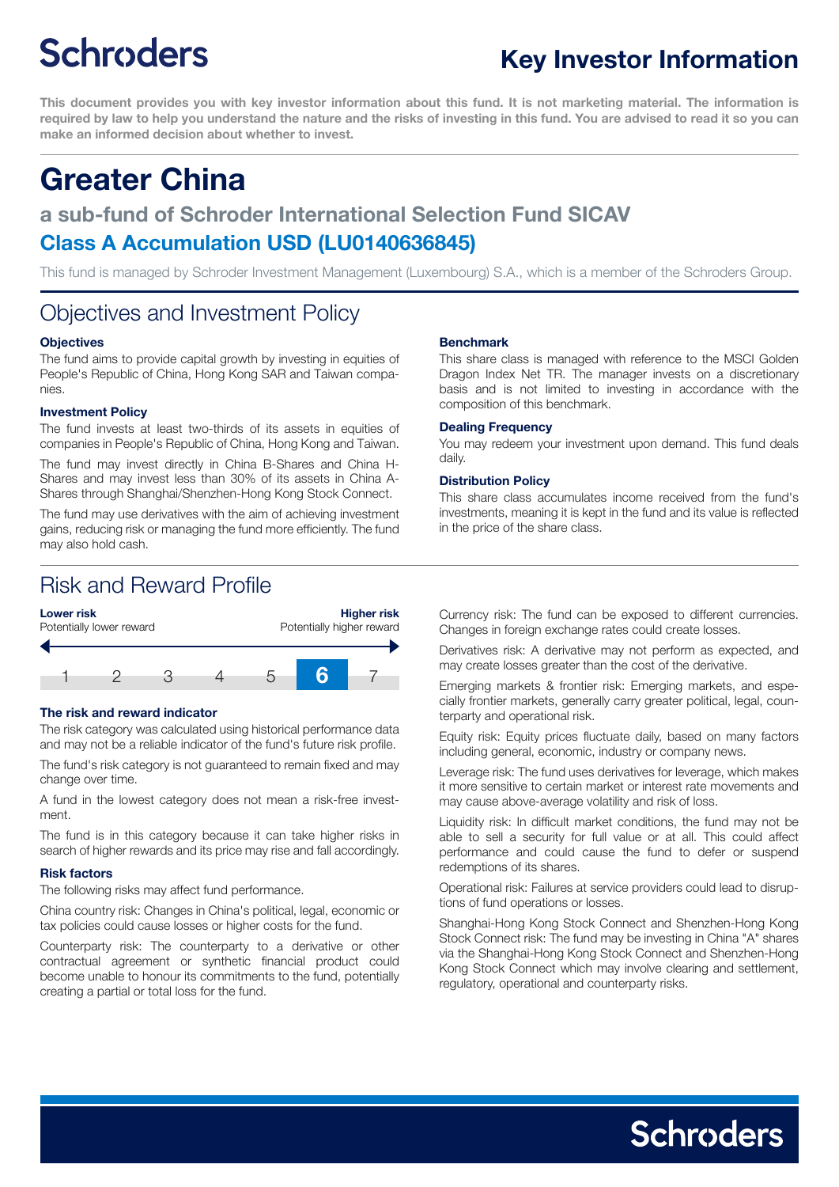# **Schroders**

This document provides you with key investor information about this fund. It is not marketing material. The information is required by law to help you understand the nature and the risks of investing in this fund. You are advised to read it so you can **make an informed decision about whether to invest.**

## **Greater China**

### **a sub-fund of Schroder International Selection Fund SICAV Class A Accumulation USD (LU0140636845)**

This fund is managed by Schroder Investment Management (Luxembourg) S.A., which is a member of the Schroders Group.

### Objectives and Investment Policy

#### **Objectives**

The fund aims to provide capital growth by investing in equities of People's Republic of China, Hong Kong SAR and Taiwan companies.

#### **Investment Policy**

The fund invests at least two-thirds of its assets in equities of companies in People's Republic of China, Hong Kong and Taiwan.

The fund may invest directly in China B-Shares and China H-Shares and may invest less than 30% of its assets in China A-Shares through Shanghai/Shenzhen-Hong Kong Stock Connect.

The fund may use derivatives with the aim of achieving investment gains, reducing risk or managing the fund more efficiently. The fund may also hold cash.

#### **Benchmark**

This share class is managed with reference to the MSCI Golden Dragon Index Net TR. The manager invests on a discretionary basis and is not limited to investing in accordance with the composition of this benchmark.

#### **Dealing Frequency**

You may redeem your investment upon demand. This fund deals daily.

#### **Distribution Policy**

This share class accumulates income received from the fund's investments, meaning it is kept in the fund and its value is reflected in the price of the share class.

### Risk and Reward Profile



#### **The risk and reward indicator**

The risk category was calculated using historical performance data and may not be a reliable indicator of the fund's future risk profile.

The fund's risk category is not guaranteed to remain fixed and may change over time.

A fund in the lowest category does not mean a risk-free investment.

The fund is in this category because it can take higher risks in search of higher rewards and its price may rise and fall accordingly.

#### **Risk factors**

The following risks may affect fund performance.

China country risk: Changes in China's political, legal, economic or tax policies could cause losses or higher costs for the fund.

Counterparty risk: The counterparty to a derivative or other contractual agreement or synthetic financial product could become unable to honour its commitments to the fund, potentially creating a partial or total loss for the fund.

Currency risk: The fund can be exposed to different currencies. Changes in foreign exchange rates could create losses.

Derivatives risk: A derivative may not perform as expected, and may create losses greater than the cost of the derivative.

Emerging markets & frontier risk: Emerging markets, and especially frontier markets, generally carry greater political, legal, counterparty and operational risk.

Equity risk: Equity prices fluctuate daily, based on many factors including general, economic, industry or company news.

Leverage risk: The fund uses derivatives for leverage, which makes it more sensitive to certain market or interest rate movements and may cause above-average volatility and risk of loss.

Liquidity risk: In difficult market conditions, the fund may not be able to sell a security for full value or at all. This could affect performance and could cause the fund to defer or suspend redemptions of its shares.

Operational risk: Failures at service providers could lead to disruptions of fund operations or losses.

Shanghai-Hong Kong Stock Connect and Shenzhen-Hong Kong Stock Connect risk: The fund may be investing in China "A" shares via the Shanghai-Hong Kong Stock Connect and Shenzhen-Hong Kong Stock Connect which may involve clearing and settlement, regulatory, operational and counterparty risks.